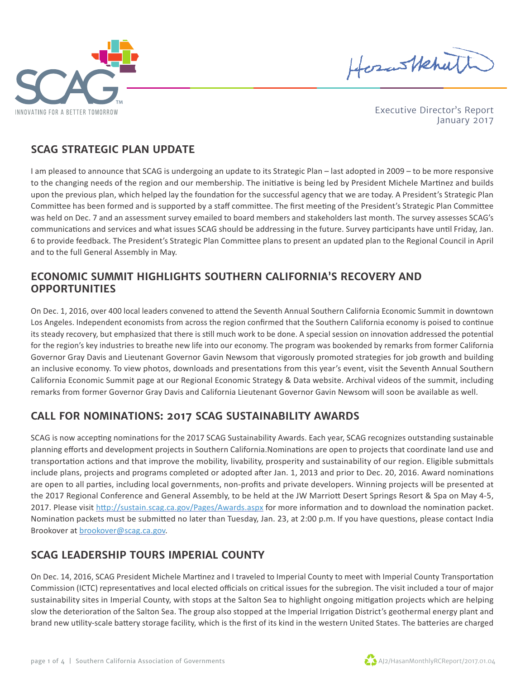



Executive Director's Report January 2017

#### **SCAG STRATEGIC PLAN UPDATE**

I am pleased to announce that SCAG is undergoing an update to its Strategic Plan – last adopted in 2009 – to be more responsive to the changing needs of the region and our membership. The initiative is being led by President Michele Martinez and builds upon the previous plan, which helped lay the foundation for the successful agency that we are today. A President's Strategic Plan Committee has been formed and is supported by a staff committee. The first meeting of the President's Strategic Plan Committee was held on Dec. 7 and an assessment survey emailed to board members and stakeholders last month. The survey assesses SCAG's communications and services and what issues SCAG should be addressing in the future. Survey participants have until Friday, Jan. 6 to provide feedback. The President's Strategic Plan Committee plans to present an updated plan to the Regional Council in April and to the full General Assembly in May.

#### **ECONOMIC SUMMIT HIGHLIGHTS SOUTHERN CALIFORNIA'S RECOVERY AND OPPORTUNITIES**

On Dec. 1, 2016, over 400 local leaders convened to attend the Seventh Annual Southern California Economic Summit in downtown Los Angeles. Independent economists from across the region confirmed that the Southern California economy is poised to continue its steady recovery, but emphasized that there is still much work to be done. A special session on innovation addressed the potential for the region's key industries to breathe new life into our economy. The program was bookended by remarks from former California Governor Gray Davis and Lieutenant Governor Gavin Newsom that vigorously promoted strategies for job growth and building an inclusive economy. To view photos, downloads and presentations from this year's event, visit the Seventh Annual Southern California Economic Summit page at our Regional Economic Strategy & Data website. Archival videos of the summit, including remarks from former Governor Gray Davis and California Lieutenant Governor Gavin Newsom will soon be available as well.

## **CALL FOR NOMINATIONS: 2017 SCAG SUSTAINABILITY AWARDS**

SCAG is now accepting nominations for the 2017 SCAG Sustainability Awards. Each year, SCAG recognizes outstanding sustainable planning efforts and development projects in Southern California.Nominations are open to projects that coordinate land use and transportation actions and that improve the mobility, livability, prosperity and sustainability of our region. Eligible submittals include plans, projects and programs completed or adopted after Jan. 1, 2013 and prior to Dec. 20, 2016. Award nominations are open to all parties, including local governments, non-profits and private developers. Winning projects will be presented at the 2017 Regional Conference and General Assembly, to be held at the JW Marriott Desert Springs Resort & Spa on May 4-5, 2017. Please visit http://sustain.scag.ca.gov/Pages/Awards.aspx for more information and to download the nomination packet. Nomination packets must be submitted no later than Tuesday, Jan. 23, at 2:00 p.m. If you have questions, please contact India Brookover at brookover@scag.ca.gov.

## **SCAG LEADERSHIP TOURS IMPERIAL COUNTY**

On Dec. 14, 2016, SCAG President Michele Martinez and I traveled to Imperial County to meet with Imperial County Transportation Commission (ICTC) representatives and local elected officials on critical issues for the subregion. The visit included a tour of major sustainability sites in Imperial County, with stops at the Salton Sea to highlight ongoing mitigation projects which are helping slow the deterioration of the Salton Sea. The group also stopped at the Imperial Irrigation District's geothermal energy plant and brand new utility-scale battery storage facility, which is the first of its kind in the western United States. The batteries are charged

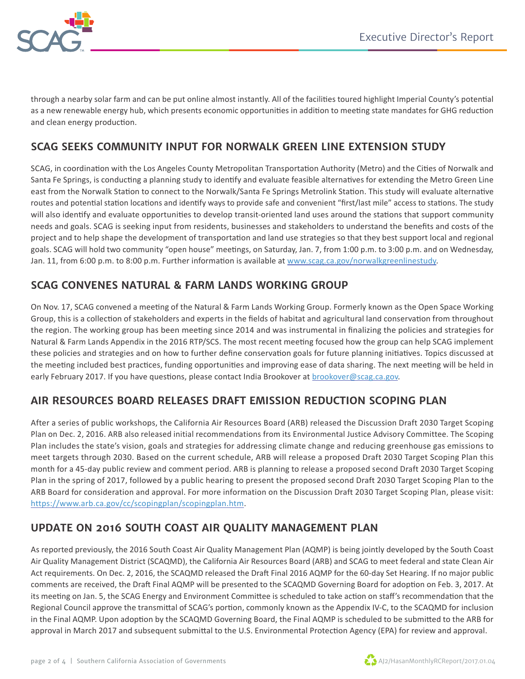

through a nearby solar farm and can be put online almost instantly. All of the facilities toured highlight Imperial County's potential as a new renewable energy hub, which presents economic opportunities in addition to meeting state mandates for GHG reduction and clean energy production.

#### **SCAG SEEKS COMMUNITY INPUT FOR NORWALK GREEN LINE EXTENSION STUDY**

SCAG, in coordination with the Los Angeles County Metropolitan Transportation Authority (Metro) and the Cities of Norwalk and Santa Fe Springs, is conducting a planning study to identify and evaluate feasible alternatives for extending the Metro Green Line east from the Norwalk Station to connect to the Norwalk/Santa Fe Springs Metrolink Station. This study will evaluate alternative routes and potential station locations and identify ways to provide safe and convenient "first/last mile" access to stations. The study will also identify and evaluate opportunities to develop transit-oriented land uses around the stations that support community needs and goals. SCAG is seeking input from residents, businesses and stakeholders to understand the benefits and costs of the project and to help shape the development of transportation and land use strategies so that they best support local and regional goals. SCAG will hold two community "open house" meetings, on Saturday, Jan. 7, from 1:00 p.m. to 3:00 p.m. and on Wednesday, Jan. 11, from 6:00 p.m. to 8:00 p.m. Further information is available at www.scag.ca.gov/norwalkgreenlinestudy.

#### **SCAG CONVENES NATURAL & FARM LANDS WORKING GROUP**

On Nov. 17, SCAG convened a meeting of the Natural & Farm Lands Working Group. Formerly known as the Open Space Working Group, this is a collection of stakeholders and experts in the fields of habitat and agricultural land conservation from throughout the region. The working group has been meeting since 2014 and was instrumental in finalizing the policies and strategies for Natural & Farm Lands Appendix in the 2016 RTP/SCS. The most recent meeting focused how the group can help SCAG implement these policies and strategies and on how to further define conservation goals for future planning initiatives. Topics discussed at the meeting included best practices, funding opportunities and improving ease of data sharing. The next meeting will be held in early February 2017. If you have questions, please contact India Brookover at brookover@scag.ca.gov.

#### **AIR RESOURCES BOARD RELEASES DRAFT EMISSION REDUCTION SCOPING PLAN**

After a series of public workshops, the California Air Resources Board (ARB) released the Discussion Draft 2030 Target Scoping Plan on Dec. 2, 2016. ARB also released initial recommendations from its Environmental Justice Advisory Committee. The Scoping Plan includes the state's vision, goals and strategies for addressing climate change and reducing greenhouse gas emissions to meet targets through 2030. Based on the current schedule, ARB will release a proposed Draft 2030 Target Scoping Plan this month for a 45-day public review and comment period. ARB is planning to release a proposed second Draft 2030 Target Scoping Plan in the spring of 2017, followed by a public hearing to present the proposed second Draft 2030 Target Scoping Plan to the ARB Board for consideration and approval. For more information on the Discussion Draft 2030 Target Scoping Plan, please visit: https://www.arb.ca.gov/cc/scopingplan/scopingplan.htm.

#### **UPDATE ON 2016 SOUTH COAST AIR QUALITY MANAGEMENT PLAN**

As reported previously, the 2016 South Coast Air Quality Management Plan (AQMP) is being jointly developed by the South Coast Air Quality Management District (SCAQMD), the California Air Resources Board (ARB) and SCAG to meet federal and state Clean Air Act requirements. On Dec. 2, 2016, the SCAQMD released the Draft Final 2016 AQMP for the 60-day Set Hearing. If no major public comments are received, the Draft Final AQMP will be presented to the SCAQMD Governing Board for adoption on Feb. 3, 2017. At its meeting on Jan. 5, the SCAG Energy and Environment Committee is scheduled to take action on staff's recommendation that the Regional Council approve the transmittal of SCAG's portion, commonly known as the Appendix IV-C, to the SCAQMD for inclusion in the Final AQMP. Upon adoption by the SCAQMD Governing Board, the Final AQMP is scheduled to be submitted to the ARB for approval in March 2017 and subsequent submittal to the U.S. Environmental Protection Agency (EPA) for review and approval.

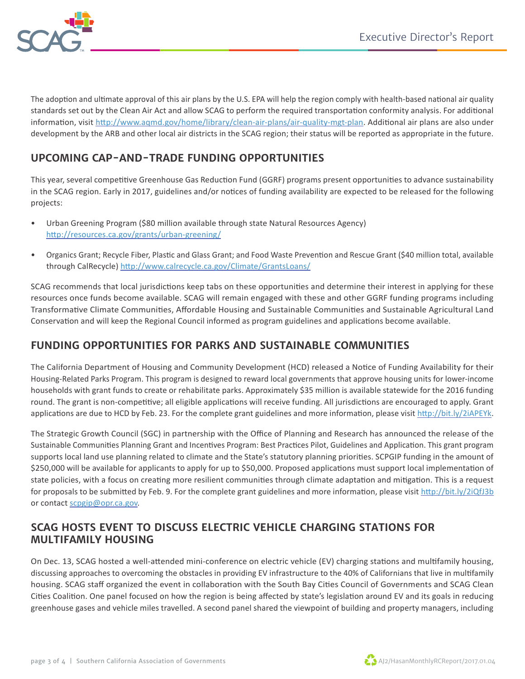

The adoption and ultimate approval of this air plans by the U.S. EPA will help the region comply with health-based national air quality standards set out by the Clean Air Act and allow SCAG to perform the required transportation conformity analysis. For additional information, visit http://www.aqmd.gov/home/library/clean-air-plans/air-quality-mgt-plan. Additional air plans are also under development by the ARB and other local air districts in the SCAG region; their status will be reported as appropriate in the future.

## **UPCOMING CAP-AND-TRADE FUNDING OPPORTUNITIES**

This year, several competitive Greenhouse Gas Reduction Fund (GGRF) programs present opportunities to advance sustainability in the SCAG region. Early in 2017, guidelines and/or notices of funding availability are expected to be released for the following projects:

- Urban Greening Program (\$80 million available through state Natural Resources Agency) http://resources.ca.gov/grants/urban-greening/
- Organics Grant; Recycle Fiber, Plastic and Glass Grant; and Food Waste Prevention and Rescue Grant (\$40 million total, available through CalRecycle) http://www.calrecycle.ca.gov/Climate/GrantsLoans/

SCAG recommends that local jurisdictions keep tabs on these opportunities and determine their interest in applying for these resources once funds become available. SCAG will remain engaged with these and other GGRF funding programs including Transformative Climate Communities, Affordable Housing and Sustainable Communities and Sustainable Agricultural Land Conservation and will keep the Regional Council informed as program guidelines and applications become available.

### **FUNDING OPPORTUNITIES FOR PARKS AND SUSTAINABLE COMMUNITIES**

The California Department of Housing and Community Development (HCD) released a Notice of Funding Availability for their Housing-Related Parks Program. This program is designed to reward local governments that approve housing units for lower-income households with grant funds to create or rehabilitate parks. Approximately \$35 million is available statewide for the 2016 funding round. The grant is non-competitive; all eligible applications will receive funding. All jurisdictions are encouraged to apply. Grant applications are due to HCD by Feb. 23. For the complete grant guidelines and more information, please visit http://bit.ly/2iAPEYk.

The Strategic Growth Council (SGC) in partnership with the Office of Planning and Research has announced the release of the Sustainable Communities Planning Grant and Incentives Program: Best Practices Pilot, Guidelines and Application. This grant program supports local land use planning related to climate and the State's statutory planning priorities. SCPGIP funding in the amount of \$250,000 will be available for applicants to apply for up to \$50,000. Proposed applications must support local implementation of state policies, with a focus on creating more resilient communities through climate adaptation and mitigation. This is a request for proposals to be submitted by Feb. 9. For the complete grant guidelines and more information, please visit http://bit.ly/2iQfJ3b or contact scpgip@opr.ca.gov.

#### **SCAG HOSTS EVENT TO DISCUSS ELECTRIC VEHICLE CHARGING STATIONS FOR MULTIFAMILY HOUSING**

On Dec. 13, SCAG hosted a well-attended mini-conference on electric vehicle (EV) charging stations and multifamily housing, discussing approaches to overcoming the obstacles in providing EV infrastructure to the 40% of Californians that live in multifamily housing. SCAG staff organized the event in collaboration with the South Bay Cities Council of Governments and SCAG Clean Cities Coalition. One panel focused on how the region is being affected by state's legislation around EV and its goals in reducing greenhouse gases and vehicle miles travelled. A second panel shared the viewpoint of building and property managers, including